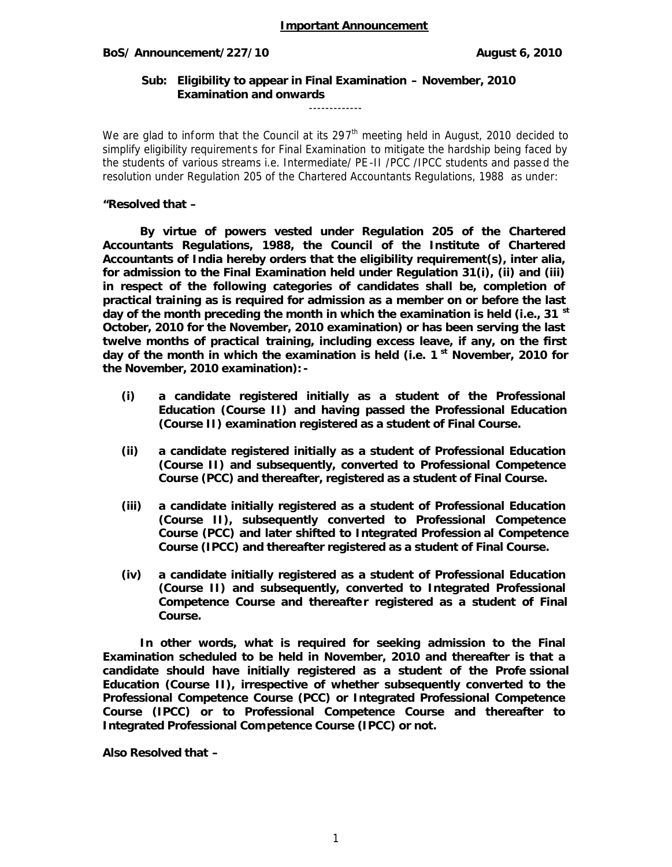## BoS/ Announcement/227/10 **BoS/ August 6, 2010**

**Sub: Eligibility to appear in Final Examination – November, 2010 Examination and onwards**

-------------

We are glad to inform that the Council at its 297<sup>th</sup> meeting held in August, 2010 decided to simplify eligibility requirements for Final Examination to mitigate the hardship being faced by the students of various streams i.e. Intermediate/ PE -II /PCC /IPCC students and passe d the resolution under Regulation 205 of the Chartered Accountants Regulations, 1988 as under:

**"Resolved that –**

**By virtue of powers vested under Regulation 205 of the Chartered Accountants Regulations, 1988, the Council of the Institute of Chartered Accountants of India hereby orders that the eligibility requirement(s), inter alia, for admission to the Final Examination held under Regulation 31(i), (ii) and (iii) in respect of the following categories of candidates shall be, completion of practical training as is required for admission as a member on or before the last day of the month preceding the month in which the examination is held (i.e., 31 st October, 2010 for the November, 2010 examination) or has been serving the last twelve months of practical training, including excess leave, if any, on the first day of the month in which the examination is held (i.e. 1 st November, 2010 for the November, 2010 examination): -**

- **(i) a candidate registered initially as a student of the Professional Education (Course II) and having passed the Professional Education (Course II) examination registered as a student of Final Course.**
- **(ii) a candidate registered initially as a student of Professional Education (Course II) and subsequently, converted to Professional Competence Course (PCC) and thereafter, registered as a student of Final Course.**
- **(iii) a candidate initially registered as a student of Professional Education (Course II), subsequently converted to Professional Competence Course (PCC) and later shifted to Integrated Profession al Competence Course (IPCC) and thereafter registered as a student of Final Course.**
- **(iv) a candidate initially registered as a student of Professional Education (Course II) and subsequently, converted to Integrated Professional** Competence Course and thereafter registered as a student of Final **Course.**

**In other words, what is required for seeking admission to the Final Examination scheduled to be held in November, 2010 and thereafter is that a candidate should have initially registered as a student of the Profe ssional Education (Course II), irrespective of whether subsequently converted to the Professional Competence Course (PCC) or Integrated Professional Competence Course (IPCC) or to Professional Competence Course and thereafter to Integrated Professional Competence Course (IPCC) or not.**

**Also Resolved that –**